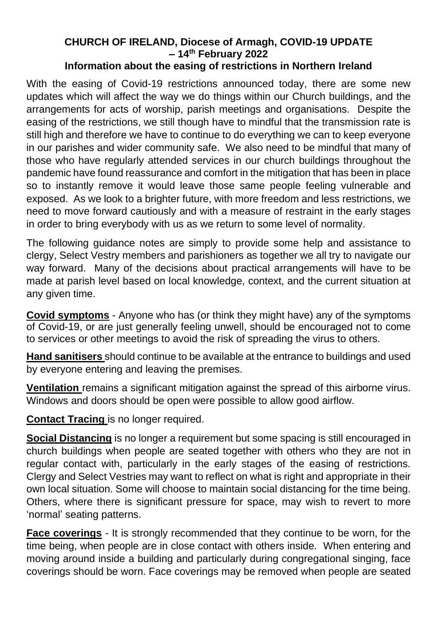## **CHURCH OF IRELAND, Diocese of Armagh, COVID-19 UPDATE – 14th February 2022 Information about the easing of restrictions in Northern Ireland**

With the easing of Covid-19 restrictions announced today, there are some new updates which will affect the way we do things within our Church buildings, and the arrangements for acts of worship, parish meetings and organisations. Despite the easing of the restrictions, we still though have to mindful that the transmission rate is still high and therefore we have to continue to do everything we can to keep everyone in our parishes and wider community safe. We also need to be mindful that many of those who have regularly attended services in our church buildings throughout the pandemic have found reassurance and comfort in the mitigation that has been in place so to instantly remove it would leave those same people feeling vulnerable and exposed. As we look to a brighter future, with more freedom and less restrictions, we need to move forward cautiously and with a measure of restraint in the early stages in order to bring everybody with us as we return to some level of normality.

The following guidance notes are simply to provide some help and assistance to clergy, Select Vestry members and parishioners as together we all try to navigate our way forward. Many of the decisions about practical arrangements will have to be made at parish level based on local knowledge, context, and the current situation at any given time.

**Covid symptoms** - Anyone who has (or think they might have) any of the symptoms of Covid-19, or are just generally feeling unwell, should be encouraged not to come to services or other meetings to avoid the risk of spreading the virus to others.

**Hand sanitisers** should continue to be available at the entrance to buildings and used by everyone entering and leaving the premises.

**Ventilation** remains a significant mitigation against the spread of this airborne virus. Windows and doors should be open were possible to allow good airflow.

**Contact Tracing** is no longer required.

**Social Distancing** is no longer a requirement but some spacing is still encouraged in church buildings when people are seated together with others who they are not in regular contact with, particularly in the early stages of the easing of restrictions. Clergy and Select Vestries may want to reflect on what is right and appropriate in their own local situation. Some will choose to maintain social distancing for the time being. Others, where there is significant pressure for space, may wish to revert to more 'normal' seating patterns.

**Face coverings** - It is strongly recommended that they continue to be worn, for the time being, when people are in close contact with others inside. When entering and moving around inside a building and particularly during congregational singing, face coverings should be worn. Face coverings may be removed when people are seated